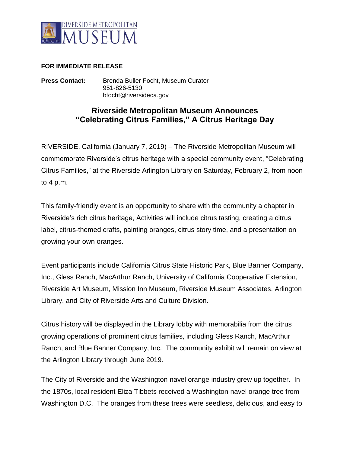

## **FOR IMMEDIATE RELEASE**

**Press Contact:** Brenda Buller Focht, Museum Curator 951-826-5130 bfocht@riversideca.gov

## **Riverside Metropolitan Museum Announces "Celebrating Citrus Families," A Citrus Heritage Day**

RIVERSIDE, California (January 7, 2019) – The Riverside Metropolitan Museum will commemorate Riverside's citrus heritage with a special community event, "Celebrating Citrus Families," at the Riverside Arlington Library on Saturday, February 2, from noon to 4 p.m.

This family-friendly event is an opportunity to share with the community a chapter in Riverside's rich citrus heritage, Activities will include citrus tasting, creating a citrus label, citrus-themed crafts, painting oranges, citrus story time, and a presentation on growing your own oranges.

Event participants include California Citrus State Historic Park, Blue Banner Company, Inc., Gless Ranch, MacArthur Ranch, University of California Cooperative Extension, Riverside Art Museum, Mission Inn Museum, Riverside Museum Associates, Arlington Library, and City of Riverside Arts and Culture Division.

Citrus history will be displayed in the Library lobby with memorabilia from the citrus growing operations of prominent citrus families, including Gless Ranch, MacArthur Ranch, and Blue Banner Company, Inc. The community exhibit will remain on view at the Arlington Library through June 2019.

The City of Riverside and the Washington navel orange industry grew up together. In the 1870s, local resident Eliza Tibbets received a Washington navel orange tree from Washington D.C. The oranges from these trees were seedless, delicious, and easy to